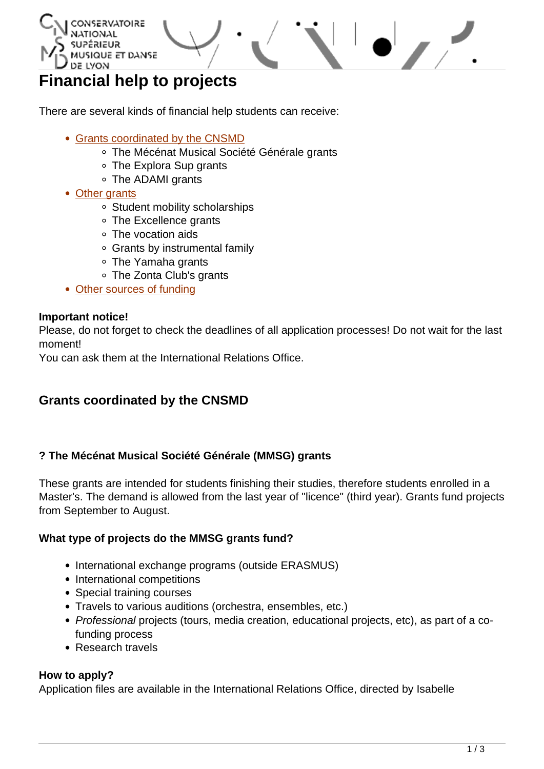<span id="page-0-0"></span>

# **Financial help to projects**

There are several kinds of financial help students can receive:

- [Grants coordinated by the CNSMD](#page-0-0)
	- The Mécénat Musical Société Générale grants
	- The Explora Sup grants
	- The ADAMI grants
- [Other grants](#page-0-0)
	- Student mobility scholarships
	- The Excellence grants
	- The vocation aids
	- Grants by instrumental family
	- The Yamaha grants
	- The Zonta Club's grants
- [Other sources of funding](#page-0-0)

#### **Important notice!**

Please, do not forget to check the deadlines of all application processes! Do not wait for the last moment!

You can ask them at the International Relations Office.

# **Grants coordinated by the CNSMD**

#### **? The Mécénat Musical Société Générale (MMSG) grants**

These grants are intended for students finishing their studies, therefore students enrolled in a Master's. The demand is allowed from the last year of "licence" (third year). Grants fund projects from September to August.

#### **What type of projects do the MMSG grants fund?**

- International exchange programs (outside ERASMUS)
- International competitions
- Special training courses
- Travels to various auditions (orchestra, ensembles, etc.)
- Professional projects (tours, media creation, educational projects, etc), as part of a cofunding process
- Research travels

#### **How to apply?**

Application files are available in the International Relations Office, directed by Isabelle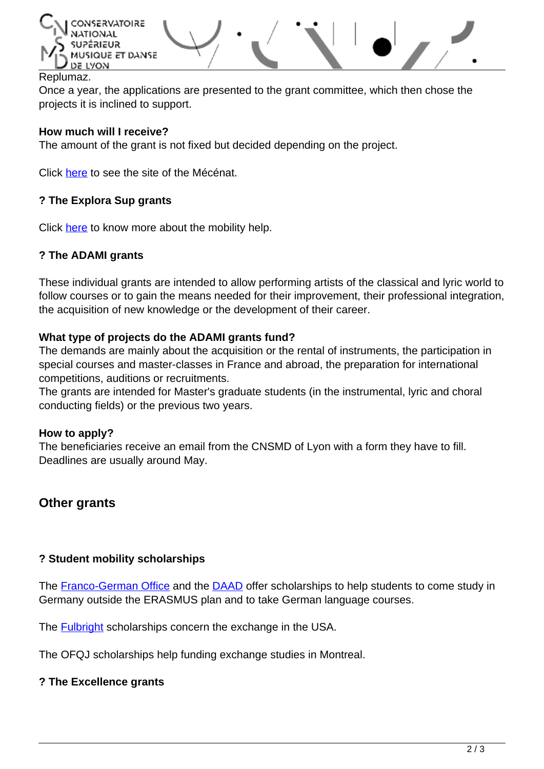

#### Replumaz.

Once a year, the applications are presented to the grant committee, which then chose the projects it is inclined to support.

#### **How much will I receive?**

The amount of the grant is not fixed but decided depending on the project.

Click [here](http://www.mecenatmusical.societegenerale.com/#!/en/) to see the site of the Mécénat.

#### **? The Explora Sup grants**

Click [here](http://www.cnsmd-lyon.fr/fr-2/linternational/bourses-a-la-mobilite) to know more about the mobility help.

#### **? The ADAMI grants**

These individual grants are intended to allow performing artists of the classical and lyric world to follow courses or to gain the means needed for their improvement, their professional integration, the acquisition of new knowledge or the development of their career.

#### **What type of projects do the ADAMI grants fund?**

The demands are mainly about the acquisition or the rental of instruments, the participation in special courses and master-classes in France and abroad, the preparation for international competitions, auditions or recruitments.

The grants are intended for Master's graduate students (in the instrumental, lyric and choral conducting fields) or the previous two years.

#### **How to apply?**

The beneficiaries receive an email from the CNSMD of Lyon with a form they have to fill. Deadlines are usually around May.

# **Other grants**

#### **? Student mobility scholarships**

The [Franco-German Office](http://www.ofaj.org/english-version) and the [DAAD](https://www.daad.de/en/index.html) offer scholarships to help students to come study in Germany outside the ERASMUS plan and to take German language courses.

The [Fulbright](http://www.iie.org/fulbright/) scholarships concern the exchange in the USA.

The OFQJ scholarships help funding exchange studies in Montreal.

#### **? The Excellence grants**